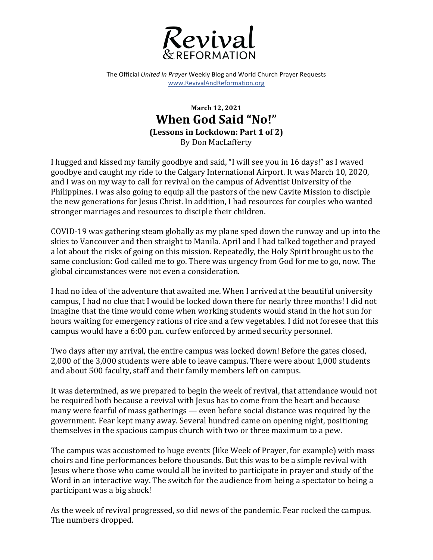

The Official *United in Prayer* Weekly Blog and World Church Prayer Requests www.RevivalAndReformation.org

## **March 12, 2021 When God Said "No!" (Lessons in Lockdown: Part 1 of 2)** By Don MacLafferty

I hugged and kissed my family goodbye and said, "I will see you in 16 days!" as I waved goodbye and caught my ride to the Calgary International Airport. It was March 10, 2020, and I was on my way to call for revival on the campus of Adventist University of the Philippines. I was also going to equip all the pastors of the new Cavite Mission to disciple the new generations for Jesus Christ. In addition, I had resources for couples who wanted stronger marriages and resources to disciple their children.

COVID-19 was gathering steam globally as my plane sped down the runway and up into the skies to Vancouver and then straight to Manila. April and I had talked together and prayed a lot about the risks of going on this mission. Repeatedly, the Holy Spirit brought us to the same conclusion: God called me to go. There was urgency from God for me to go, now. The global circumstances were not even a consideration.

I had no idea of the adventure that awaited me. When I arrived at the beautiful university campus, I had no clue that I would be locked down there for nearly three months! I did not imagine that the time would come when working students would stand in the hot sun for hours waiting for emergency rations of rice and a few vegetables. I did not foresee that this campus would have a 6:00 p.m. curfew enforced by armed security personnel.

Two days after my arrival, the entire campus was locked down! Before the gates closed, 2,000 of the 3,000 students were able to leave campus. There were about 1,000 students and about 500 faculty, staff and their family members left on campus.

It was determined, as we prepared to begin the week of revival, that attendance would not be required both because a revival with Jesus has to come from the heart and because many were fearful of mass gatherings — even before social distance was required by the government. Fear kept many away. Several hundred came on opening night, positioning themselves in the spacious campus church with two or three maximum to a pew.

The campus was accustomed to huge events (like Week of Prayer, for example) with mass choirs and fine performances before thousands. But this was to be a simple revival with Jesus where those who came would all be invited to participate in prayer and study of the Word in an interactive way. The switch for the audience from being a spectator to being a participant was a big shock!

As the week of revival progressed, so did news of the pandemic. Fear rocked the campus. The numbers dropped.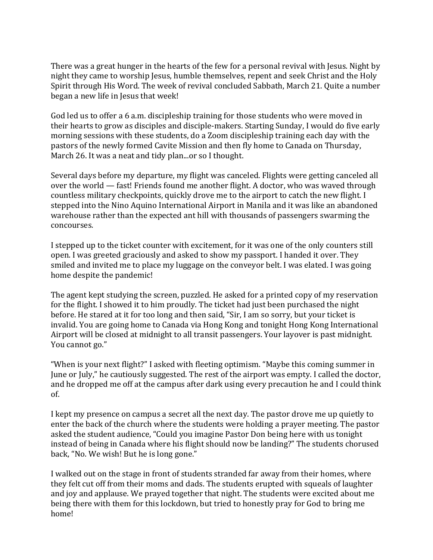There was a great hunger in the hearts of the few for a personal revival with Jesus. Night by night they came to worship Jesus, humble themselves, repent and seek Christ and the Holy Spirit through His Word. The week of revival concluded Sabbath, March 21. Ouite a number began a new life in Jesus that week!

God led us to offer a 6 a.m. discipleship training for those students who were moved in their hearts to grow as disciples and disciple-makers. Starting Sunday, I would do five early morning sessions with these students, do a Zoom discipleship training each day with the pastors of the newly formed Cavite Mission and then fly home to Canada on Thursday, March 26. It was a neat and tidy plan...or so I thought.

Several days before my departure, my flight was canceled. Flights were getting canceled all over the world  $-$  fast! Friends found me another flight. A doctor, who was waved through countless military checkpoints, quickly drove me to the airport to catch the new flight. I stepped into the Nino Aquino International Airport in Manila and it was like an abandoned warehouse rather than the expected ant hill with thousands of passengers swarming the concourses.

I stepped up to the ticket counter with excitement, for it was one of the only counters still open. I was greeted graciously and asked to show my passport. I handed it over. They smiled and invited me to place my luggage on the conveyor belt. I was elated. I was going home despite the pandemic!

The agent kept studying the screen, puzzled. He asked for a printed copy of my reservation for the flight. I showed it to him proudly. The ticket had just been purchased the night before. He stared at it for too long and then said, "Sir, I am so sorry, but your ticket is invalid. You are going home to Canada via Hong Kong and tonight Hong Kong International Airport will be closed at midnight to all transit passengers. Your layover is past midnight. You cannot go."

"When is your next flight?" I asked with fleeting optimism. "Maybe this coming summer in June or July," he cautiously suggested. The rest of the airport was empty. I called the doctor, and he dropped me off at the campus after dark using every precaution he and I could think of.

I kept my presence on campus a secret all the next day. The pastor drove me up quietly to enter the back of the church where the students were holding a prayer meeting. The pastor asked the student audience, "Could you imagine Pastor Don being here with us tonight instead of being in Canada where his flight should now be landing?" The students chorused back, "No. We wish! But he is long gone."

I walked out on the stage in front of students stranded far away from their homes, where they felt cut off from their moms and dads. The students erupted with squeals of laughter and joy and applause. We prayed together that night. The students were excited about me being there with them for this lockdown, but tried to honestly pray for God to bring me home!